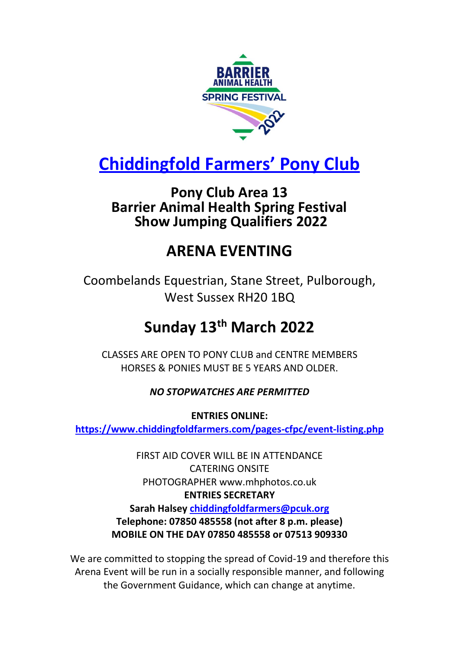

# **Chiddingfold Farmers' Pony Club**

## **Pony Club Area 13 Barrier Animal Health Spring Festival Show Jumping Qualifiers 2022**

## **ARENA EVENTING**

Coombelands Equestrian, Stane Street, Pulborough, West Sussex RH20 1BQ

# **Sunday 13th March 2022**

CLASSES ARE OPEN TO PONY CLUB and CENTRE MEMBERS HORSES & PONIES MUST BE 5 YEARS AND OLDER.

### *NO STOPWATCHES ARE PERMITTED*

**ENTRIES ONLINE: <https://www.chiddingfoldfarmers.com/pages-cfpc/event-listing.php>**

> FIRST AID COVER WILL BE IN ATTENDANCE CATERING ONSITE PHOTOGRAPHER [www.mhphotos.co.uk](http://www.mhphotos.co.uk/) **ENTRIES SECRETARY Sarah Halsey [chiddingfoldfarmers@pcuk.org](mailto:chiddingfoldfarmers@pcuk.org) Telephone: 07850 485558 (not after 8 p.m. please) MOBILE ON THE DAY 07850 485558 or 07513 909330**

We are committed to stopping the spread of Covid-19 and therefore this Arena Event will be run in a socially responsible manner, and following the Government Guidance, which can change at anytime.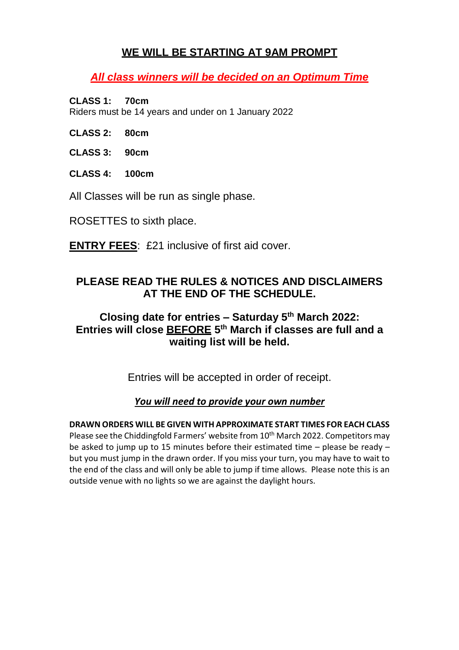#### **WE WILL BE STARTING AT 9AM PROMPT**

*All class winners will be decided on an Optimum Time*

#### **CLASS 1: 70cm**

Riders must be 14 years and under on 1 January 2022

- **CLASS 2: 80cm**
- **CLASS 3: 90cm**
- **CLASS 4: 100cm**

All Classes will be run as single phase.

ROSETTES to sixth place.

**ENTRY FEES**: £21 inclusive of first aid cover.

#### **PLEASE READ THE RULES & NOTICES AND DISCLAIMERS AT THE END OF THE SCHEDULE.**

#### **Closing date for entries – Saturday 5 th March 2022: Entries will close BEFORE 5 th March if classes are full and a waiting list will be held.**

Entries will be accepted in order of receipt.

#### *You will need to provide your own number*

**DRAWN ORDERS WILL BE GIVEN WITH APPROXIMATE START TIMES FOR EACH CLASS** Please see the Chiddingfold Farmers' website from 10<sup>th</sup> March 2022. Competitors may be asked to jump up to 15 minutes before their estimated time – please be ready – but you must jump in the drawn order. If you miss your turn, you may have to wait to the end of the class and will only be able to jump if time allows. Please note this is an outside venue with no lights so we are against the daylight hours.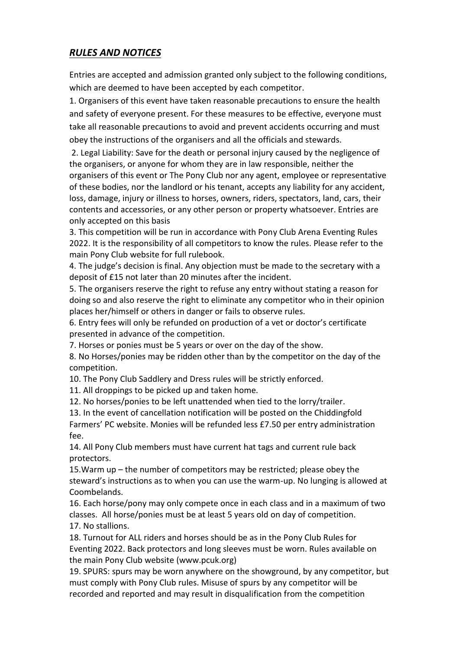#### *RULES AND NOTICES*

Entries are accepted and admission granted only subject to the following conditions, which are deemed to have been accepted by each competitor.

1. Organisers of this event have taken reasonable precautions to ensure the health and safety of everyone present. For these measures to be effective, everyone must take all reasonable precautions to avoid and prevent accidents occurring and must obey the instructions of the organisers and all the officials and stewards.

2. Legal Liability: Save for the death or personal injury caused by the negligence of the organisers, or anyone for whom they are in law responsible, neither the organisers of this event or The Pony Club nor any agent, employee or representative of these bodies, nor the landlord or his tenant, accepts any liability for any accident, loss, damage, injury or illness to horses, owners, riders, spectators, land, cars, their contents and accessories, or any other person or property whatsoever. Entries are only accepted on this basis

3. This competition will be run in accordance with Pony Club Arena Eventing Rules 2022. It is the responsibility of all competitors to know the rules. Please refer to the main Pony Club website for full rulebook.

4. The judge's decision is final. Any objection must be made to the secretary with a deposit of £15 not later than 20 minutes after the incident.

5. The organisers reserve the right to refuse any entry without stating a reason for doing so and also reserve the right to eliminate any competitor who in their opinion places her/himself or others in danger or fails to observe rules.

6. Entry fees will only be refunded on production of a vet or doctor's certificate presented in advance of the competition.

7. Horses or ponies must be 5 years or over on the day of the show.

8. No Horses/ponies may be ridden other than by the competitor on the day of the competition.

10. The Pony Club Saddlery and Dress rules will be strictly enforced.

11. All droppings to be picked up and taken home.

12. No horses/ponies to be left unattended when tied to the lorry/trailer.

13. In the event of cancellation notification will be posted on the Chiddingfold Farmers' PC website. Monies will be refunded less £7.50 per entry administration fee.

14. All Pony Club members must have current hat tags and current rule back protectors.

15.Warm up – the number of competitors may be restricted; please obey the steward's instructions as to when you can use the warm-up. No lunging is allowed at Coombelands.

16. Each horse/pony may only compete once in each class and in a maximum of two classes. All horse/ponies must be at least 5 years old on day of competition. 17. No stallions.

18. Turnout for ALL riders and horses should be as in the Pony Club Rules for Eventing 2022. Back protectors and long sleeves must be worn. Rules available on the main Pony Club website (www.pcuk.org)

19. SPURS: spurs may be worn anywhere on the showground, by any competitor, but must comply with Pony Club rules. Misuse of spurs by any competitor will be recorded and reported and may result in disqualification from the competition